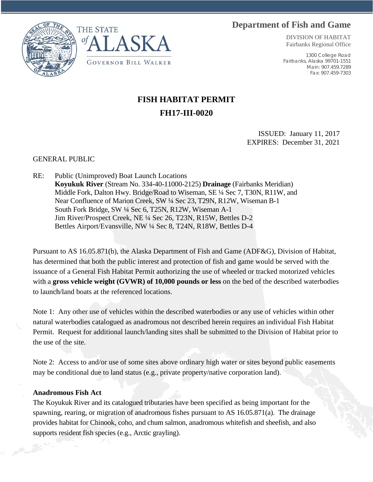## **Department of Fish and Game**





DIVISION OF HABITAT Fairbanks Regional Office

1300 College Road Fairbanks, Alaska 99701-1551 Main: 907.459.7289 Fax: 907.459-7303

## **FISH HABITAT PERMIT FH17-III-0020**

ISSUED: January 11, 2017 EXPIRES: December 31, 2021

## GENERAL PUBLIC

RE: Public (Unimproved) Boat Launch Locations **Koyukuk River** (Stream No. 334-40-11000-2125) **Drainage** (Fairbanks Meridian) Middle Fork, Dalton Hwy. Bridge/Road to Wiseman, SE ¼ Sec 7, T30N, R11W, and Near Confluence of Marion Creek, SW ¼ Sec 23, T29N, R12W, Wiseman B-1 South Fork Bridge, SW ¼ Sec 6, T25N, R12W, Wiseman A-1 Jim River/Prospect Creek, NE ¼ Sec 26, T23N, R15W, Bettles D-2 Bettles Airport/Evansville, NW ¼ Sec 8, T24N, R18W, Bettles D-4

Pursuant to AS 16.05.871(b), the Alaska Department of Fish and Game (ADF&G), Division of Habitat, has determined that both the public interest and protection of fish and game would be served with the issuance of a General Fish Habitat Permit authorizing the use of wheeled or tracked motorized vehicles with a **gross vehicle weight (GVWR) of 10,000 pounds or less** on the bed of the described waterbodies to launch/land boats at the referenced locations.

Note 1: Any other use of vehicles within the described waterbodies or any use of vehicles within other natural waterbodies catalogued as anadromous not described herein requires an individual Fish Habitat Permit. Request for additional launch/landing sites shall be submitted to the Division of Habitat prior to the use of the site.

Note 2: Access to and/or use of some sites above ordinary high water or sites beyond public easements may be conditional due to land status (e.g., private property/native corporation land).

## **Anadromous Fish Act**

The Koyukuk River and its catalogued tributaries have been specified as being important for the spawning, rearing, or migration of anadromous fishes pursuant to AS 16.05.871(a). The drainage provides habitat for Chinook, coho, and chum salmon, anadromous whitefish and sheefish, and also supports resident fish species (e.g., Arctic grayling).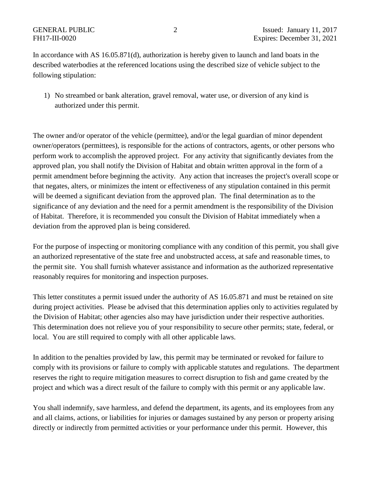In accordance with AS 16.05.871(d), authorization is hereby given to launch and land boats in the described waterbodies at the referenced locations using the described size of vehicle subject to the following stipulation:

1) No streambed or bank alteration, gravel removal, water use, or diversion of any kind is authorized under this permit.

The owner and/or operator of the vehicle (permittee), and/or the legal guardian of minor dependent owner/operators (permittees), is responsible for the actions of contractors, agents, or other persons who perform work to accomplish the approved project. For any activity that significantly deviates from the approved plan, you shall notify the Division of Habitat and obtain written approval in the form of a permit amendment before beginning the activity. Any action that increases the project's overall scope or that negates, alters, or minimizes the intent or effectiveness of any stipulation contained in this permit will be deemed a significant deviation from the approved plan. The final determination as to the significance of any deviation and the need for a permit amendment is the responsibility of the Division of Habitat. Therefore, it is recommended you consult the Division of Habitat immediately when a deviation from the approved plan is being considered.

For the purpose of inspecting or monitoring compliance with any condition of this permit, you shall give an authorized representative of the state free and unobstructed access, at safe and reasonable times, to the permit site. You shall furnish whatever assistance and information as the authorized representative reasonably requires for monitoring and inspection purposes.

This letter constitutes a permit issued under the authority of AS 16.05.871 and must be retained on site during project activities. Please be advised that this determination applies only to activities regulated by the Division of Habitat; other agencies also may have jurisdiction under their respective authorities. This determination does not relieve you of your responsibility to secure other permits; state, federal, or local. You are still required to comply with all other applicable laws.

In addition to the penalties provided by law, this permit may be terminated or revoked for failure to comply with its provisions or failure to comply with applicable statutes and regulations. The department reserves the right to require mitigation measures to correct disruption to fish and game created by the project and which was a direct result of the failure to comply with this permit or any applicable law.

You shall indemnify, save harmless, and defend the department, its agents, and its employees from any and all claims, actions, or liabilities for injuries or damages sustained by any person or property arising directly or indirectly from permitted activities or your performance under this permit. However, this